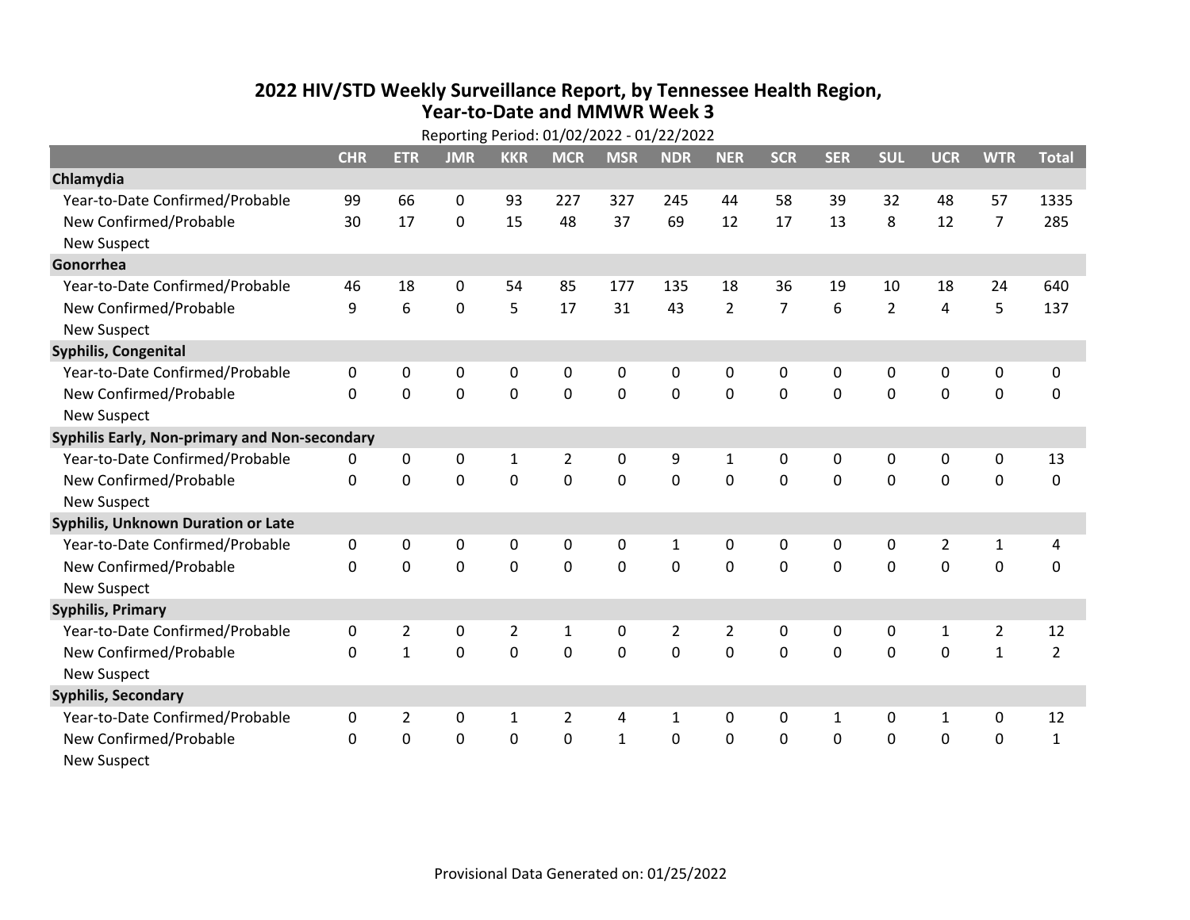## **2022 HIV /STD Weekly Surveillance Report, by Tennessee Health Region, Year‐to‐Date and MMWR Week 3** Reporting Period: 01/02/2022 ‐ 01/22/2022

| Reporting Period: 01/02/2022 - 01/22/2022     |             |                |                |                |                |              |                |                |                |              |                |                |                |                |
|-----------------------------------------------|-------------|----------------|----------------|----------------|----------------|--------------|----------------|----------------|----------------|--------------|----------------|----------------|----------------|----------------|
|                                               | <b>CHR</b>  | <b>ETR</b>     | <b>JMR</b>     | <b>KKR</b>     | <b>MCR</b>     | <b>MSR</b>   | <b>NDR</b>     | <b>NER</b>     | <b>SCR</b>     | <b>SER</b>   | <b>SUL</b>     | <b>UCR</b>     | <b>WTR</b>     | <b>Total</b>   |
| Chlamydia                                     |             |                |                |                |                |              |                |                |                |              |                |                |                |                |
| Year-to-Date Confirmed/Probable               | 99          | 66             | 0              | 93             | 227            | 327          | 245            | 44             | 58             | 39           | 32             | 48             | 57             | 1335           |
| New Confirmed/Probable                        | 30          | 17             | 0              | 15             | 48             | 37           | 69             | 12             | 17             | 13           | 8              | 12             | $\overline{7}$ | 285            |
| <b>New Suspect</b>                            |             |                |                |                |                |              |                |                |                |              |                |                |                |                |
| Gonorrhea                                     |             |                |                |                |                |              |                |                |                |              |                |                |                |                |
| Year-to-Date Confirmed/Probable               | 46          | 18             | 0              | 54             | 85             | 177          | 135            | 18             | 36             | 19           | 10             | 18             | 24             | 640            |
| New Confirmed/Probable                        | 9           | 6              | 0              | 5              | 17             | 31           | 43             | $\overline{2}$ | $\overline{7}$ | 6            | $\overline{2}$ | $\overline{4}$ | 5              | 137            |
| <b>New Suspect</b>                            |             |                |                |                |                |              |                |                |                |              |                |                |                |                |
| <b>Syphilis, Congenital</b>                   |             |                |                |                |                |              |                |                |                |              |                |                |                |                |
| Year-to-Date Confirmed/Probable               | 0           | 0              | 0              | 0              | 0              | 0            | 0              | 0              | $\mathbf{0}$   | $\mathbf{0}$ | 0              | 0              | 0              | 0              |
| New Confirmed/Probable                        | $\Omega$    | 0              | 0              | 0              | $\mathbf 0$    | $\mathbf 0$  | 0              | $\Omega$       | $\Omega$       | $\mathbf 0$  | 0              | 0              | $\mathbf 0$    | 0              |
| <b>New Suspect</b>                            |             |                |                |                |                |              |                |                |                |              |                |                |                |                |
| Syphilis Early, Non-primary and Non-secondary |             |                |                |                |                |              |                |                |                |              |                |                |                |                |
| Year-to-Date Confirmed/Probable               | 0           | 0              | 0              | $\mathbf{1}$   | 2              | 0            | 9              | $\mathbf{1}$   | 0              | $\mathbf{0}$ | $\mathbf{0}$   | 0              | 0              | 13             |
| New Confirmed/Probable                        | $\Omega$    | $\mathbf 0$    | 0              | 0              | $\mathbf 0$    | $\mathbf 0$  | $\mathbf 0$    | $\Omega$       | $\Omega$       | $\mathbf{0}$ | $\mathbf 0$    | $\mathbf 0$    | $\mathbf 0$    | $\mathbf 0$    |
| <b>New Suspect</b>                            |             |                |                |                |                |              |                |                |                |              |                |                |                |                |
| <b>Syphilis, Unknown Duration or Late</b>     |             |                |                |                |                |              |                |                |                |              |                |                |                |                |
| Year-to-Date Confirmed/Probable               | $\mathbf 0$ | 0              | 0              | $\Omega$       | $\mathbf{0}$   | $\Omega$     | 1              | $\mathbf{0}$   | $\Omega$       | $\mathbf{0}$ | $\mathbf{0}$   | $\overline{2}$ | $\mathbf{1}$   | 4              |
| New Confirmed/Probable                        | 0           | 0              | $\mathbf 0$    | 0              | $\mathbf 0$    | $\mathbf 0$  | $\Omega$       | $\Omega$       | $\Omega$       | $\Omega$     | $\Omega$       | $\mathbf 0$    | $\mathbf 0$    | $\mathbf 0$    |
| <b>New Suspect</b>                            |             |                |                |                |                |              |                |                |                |              |                |                |                |                |
| <b>Syphilis, Primary</b>                      |             |                |                |                |                |              |                |                |                |              |                |                |                |                |
| Year-to-Date Confirmed/Probable               | 0           | $\overline{2}$ | $\mathbf 0$    | $\overline{2}$ | $\mathbf{1}$   | 0            | 2              | $\overline{2}$ | $\mathbf{0}$   | $\mathbf{0}$ | 0              | $\mathbf{1}$   | $\overline{2}$ | 12             |
| New Confirmed/Probable                        | 0           | $\mathbf{1}$   | $\overline{0}$ | 0              | $\mathbf 0$    | $\mathbf 0$  | $\overline{0}$ | $\Omega$       | $\Omega$       | $\Omega$     | $\mathbf 0$    | $\mathbf 0$    | $\mathbf{1}$   | $\overline{2}$ |
| <b>New Suspect</b>                            |             |                |                |                |                |              |                |                |                |              |                |                |                |                |
| <b>Syphilis, Secondary</b>                    |             |                |                |                |                |              |                |                |                |              |                |                |                |                |
| Year-to-Date Confirmed/Probable               | 0           | $\overline{2}$ | 0              | 1              | $\overline{2}$ | 4            | $\mathbf{1}$   | $\mathbf{0}$   | $\Omega$       | $\mathbf{1}$ | 0              | $\mathbf{1}$   | 0              | 12             |
| New Confirmed/Probable                        | $\Omega$    | 0              | 0              | 0              | $\mathbf 0$    | $\mathbf{1}$ | 0              | $\Omega$       | $\Omega$       | $\mathbf 0$  | $\mathbf 0$    | $\mathbf 0$    | $\mathbf 0$    | $\mathbf{1}$   |
| <b>New Suspect</b>                            |             |                |                |                |                |              |                |                |                |              |                |                |                |                |